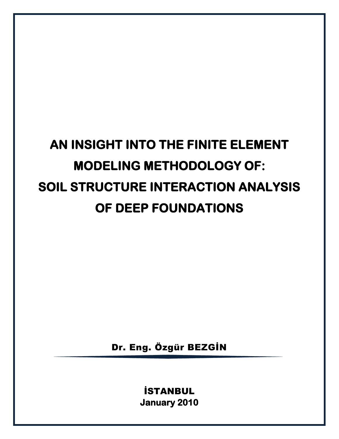# **AN INSIGHT INTO THE FINITE ELEMENT MODELING METHODOLOGY OF: SOIL STRUCTURE INTERACTION ANALYSIS OF DEEP FOUNDATIONS**

Dr. Eng. Özgür BEZGİN

İSTANBUL **January 2010**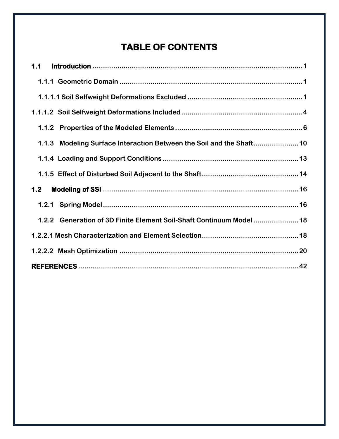# **TABLE OF CONTENTS**

| 1.1   |                                                                     |  |
|-------|---------------------------------------------------------------------|--|
|       |                                                                     |  |
|       |                                                                     |  |
|       |                                                                     |  |
|       |                                                                     |  |
|       | 1.1.3 Modeling Surface Interaction Between the Soil and the Shaft10 |  |
|       |                                                                     |  |
|       |                                                                     |  |
| $1.2$ |                                                                     |  |
|       |                                                                     |  |
|       | 1.2.2 Generation of 3D Finite Element Soil-Shaft Continuum Model18  |  |
|       |                                                                     |  |
|       |                                                                     |  |
|       |                                                                     |  |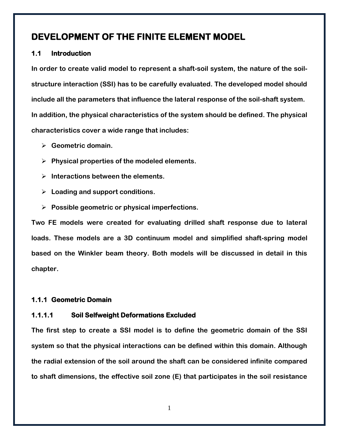# **DEVELOPMENT OF THE FINITE ELEMENT MODEL**

# <span id="page-2-0"></span>**1.1 Introduction**

**In order to create valid model to represent a shaft-soil system, the nature of the soilstructure interaction (SSI) has to be carefully evaluated. The developed model should include all the parameters that influence the lateral response of the soil-shaft system. In addition, the physical characteristics of the system should be defined. The physical characteristics cover a wide range that includes:**

- **Geometric domain.**
- **Physical properties of the modeled elements.**
- **Interactions between the elements.**
- **Loading and support conditions.**
- **Possible geometric or physical imperfections.**

**Two FE models were created for evaluating drilled shaft response due to lateral loads. These models are a 3D continuum model and simplified shaft-spring model based on the Winkler beam theory. Both models will be discussed in detail in this chapter.**

# <span id="page-2-1"></span>**1.1.1 Geometric Domain**

# <span id="page-2-2"></span>**1.1.1.1 Soil Selfweight Deformations Excluded**

**The first step to create a SSI model is to define the geometric domain of the SSI system so that the physical interactions can be defined within this domain. Although the radial extension of the soil around the shaft can be considered infinite compared to shaft dimensions, the effective soil zone (E) that participates in the soil resistance**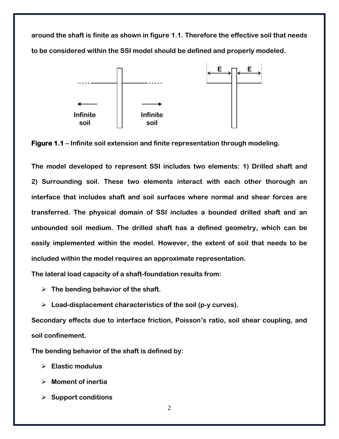**around the shaft is finite as shown in figure 1.1. Therefore the effective soil that needs to be considered within the SSI model should be defined and properly modeled.**



**Figure 1.1 – Infinite soil extension and finite representation through modeling.**

**The model developed to represent SSI includes two elements: 1) Drilled shaft and 2) Surrounding soil. These two elements interact with each other thorough an interface that includes shaft and soil surfaces where normal and shear forces are transferred. The physical domain of SSI includes a bounded drilled shaft and an unbounded soil medium. The drilled shaft has a defined geometry, which can be easily implemented within the model. However, the extent of soil that needs to be included within the model requires an approximate representation.** 

**The lateral load capacity of a shaft-foundation results from:** 

- **The bending behavior of the shaft.**
- **Load-displacement characteristics of the soil (p-y curves).**

**Secondary effects due to interface friction, Poisson's ratio, soil shear coupling, and soil confinement.**

**The bending behavior of the shaft is defined by:** 

- **Elastic modulus**
- **Moment of inertia**
- **Support conditions**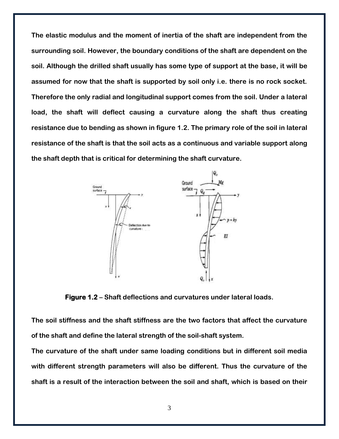**The elastic modulus and the moment of inertia of the shaft are independent from the surrounding soil. However, the boundary conditions of the shaft are dependent on the soil. Although the drilled shaft usually has some type of support at the base, it will be assumed for now that the shaft is supported by soil only i.e. there is no rock socket. Therefore the only radial and longitudinal support comes from the soil. Under a lateral load, the shaft will deflect causing a curvature along the shaft thus creating resistance due to bending as shown in figure 1.2. The primary role of the soil in lateral resistance of the shaft is that the soil acts as a continuous and variable support along the shaft depth that is critical for determining the shaft curvature.** 



**Figure 1.2 – Shaft deflections and curvatures under lateral loads.**

**The soil stiffness and the shaft stiffness are the two factors that affect the curvature of the shaft and define the lateral strength of the soil-shaft system.** 

**The curvature of the shaft under same loading conditions but in different soil media with different strength parameters will also be different. Thus the curvature of the shaft is a result of the interaction between the soil and shaft, which is based on their**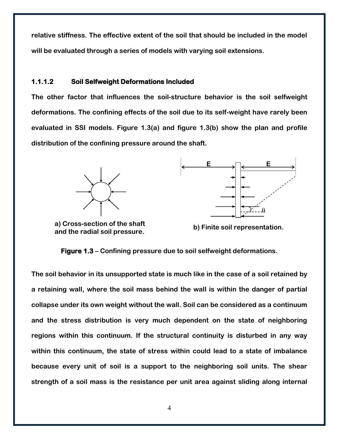**relative stiffness. The effective extent of the soil that should be included in the model will be evaluated through a series of models with varying soil extensions.** 

## <span id="page-5-0"></span>**1.1.1.2 Soil Selfweight Deformations Included**

**The other factor that influences the soil-structure behavior is the soil selfweight deformations. The confining effects of the soil due to its self-weight have rarely been evaluated in SSI models. Figure 1.3(a) and figure 1.3(b) show the plan and profile distribution of the confining pressure around the shaft.** 





**a) Cross-section of the shaft and the radial soil pressure.**

**b) Finite soil representation.**

**Figure 1.3 – Confining pressure due to soil selfweight deformations.**

**The soil behavior in its unsupported state is much like in the case of a soil retained by a retaining wall, where the soil mass behind the wall is within the danger of partial collapse under its own weight without the wall. Soil can be considered as a continuum and the stress distribution is very much dependent on the state of neighboring regions within this continuum. If the structural continuity is disturbed in any way within this continuum, the state of stress within could lead to a state of imbalance because every unit of soil is a support to the neighboring soil units. The shear strength of a soil mass is the resistance per unit area against sliding along internal**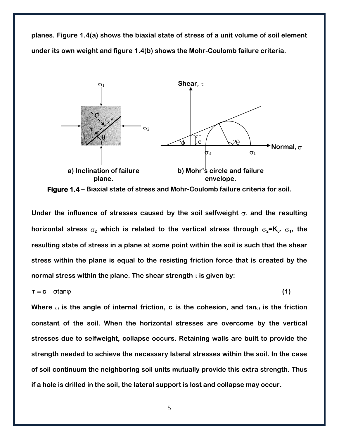**planes. Figure 1.4(a) shows the biaxial state of stress of a unit volume of soil element under its own weight and figure 1.4(b) shows the Mohr-Coulomb failure criteria.** 



**Figure 1.4 – Biaxial state of stress and Mohr-Coulomb failure criteria for soil.**

Under the influence of stresses caused by the soil selfweight  $\sigma_1$  and the resulting horizontal stress  $\sigma_{\text{2}}$  which is related to the vertical stress through  $\sigma_{\text{2}}$ =K<sub>0</sub>.  $\sigma_{\text{1}}$ , the **resulting state of stress in a plane at some point within the soil is such that the shear stress within the plane is equal to the resisting friction force that is created by the normal stress within the plane. The shear strength** τ **is given by:**

$$
\tau = c + \sigma \tan \varphi \tag{1}
$$

Where  $\phi$  is the angle of internal friction, c is the cohesion, and tan $\phi$  is the friction **constant of the soil. When the horizontal stresses are overcome by the vertical stresses due to selfweight, collapse occurs. Retaining walls are built to provide the strength needed to achieve the necessary lateral stresses within the soil. In the case of soil continuum the neighboring soil units mutually provide this extra strength. Thus if a hole is drilled in the soil, the lateral support is lost and collapse may occur.**

5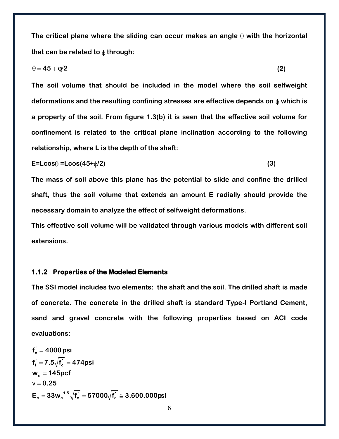The critical plane where the sliding can occur makes an angle  $\theta$  with the horizontal that can be related to  $\phi$  through:

$$
\theta = 45 + \varphi/2 \tag{2}
$$

**The soil volume that should be included in the model where the soil selfweight**  deformations and the resulting confining stresses are effective depends on  $\phi$  which is **a property of the soil. From figure 1.3(b) it is seen that the effective soil volume for confinement is related to the critical plane inclination according to the following relationship, where L is the depth of the shaft:**

$$
E = L\cos\theta = L\cos(45 + \phi/2) \tag{3}
$$

**The mass of soil above this plane has the potential to slide and confine the drilled shaft, thus the soil volume that extends an amount E radially should provide the necessary domain to analyze the effect of selfweight deformations.**

**This effective soil volume will be validated through various models with different soil extensions.**

#### <span id="page-7-0"></span>**1.1.2 Properties of the Modeled Elements**

**The SSI model includes two elements: the shaft and the soil. The drilled shaft is made of concrete. The concrete in the drilled shaft is standard Type-I Portland Cement, sand and gravel concrete with the following properties based on ACI code evaluations:**

$$
f_c = 4000 \text{psi}
$$
  
\n $f_t = 7.5\sqrt{f_c} = 474 \text{psi}$   
\n $w_c = 145 \text{pcf}$   
\n $v = 0.25$   
\n $E_c = 33w_c^{1.5}\sqrt{f_c} = 57000\sqrt{f_c} \approx 3.600.000 \text{psi}$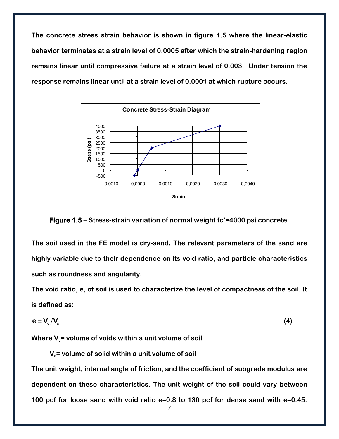**The concrete stress strain behavior is shown in figure 1.5 where the linear-elastic behavior terminates at a strain level of 0.0005 after which the strain-hardening region remains linear until compressive failure at a strain level of 0.003. Under tension the response remains linear until at a strain level of 0.0001 at which rupture occurs.**





**The soil used in the FE model is dry-sand. The relevant parameters of the sand are highly variable due to their dependence on its void ratio, and particle characteristics such as roundness and angularity.** 

**The void ratio, e, of soil is used to characterize the level of compactness of the soil. It is defined as:**

$$
e = V_{\rm v}/V_{\rm s} \tag{4}
$$

Where V<sub>v</sub>= volume of voids within a unit volume of soil

 **Vs= volume of solid within a unit volume of soil**

**The unit weight, internal angle of friction, and the coefficient of subgrade modulus are dependent on these characteristics. The unit weight of the soil could vary between 100 pcf for loose sand with void ratio e=0.8 to 130 pcf for dense sand with e=0.45.**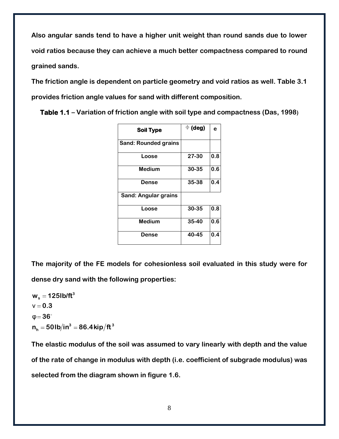**Also angular sands tend to have a higher unit weight than round sands due to lower void ratios because they can achieve a much better compactness compared to round grained sands.** 

**The friction angle is dependent on particle geometry and void ratios as well. Table 3.1 provides friction angle values for sand with different composition.**

| <b>Soil Type</b>            | $\Phi$ (deg) | e   |
|-----------------------------|--------------|-----|
| <b>Sand: Rounded grains</b> |              |     |
| Loose                       | 27-30        | 0.8 |
| <b>Medium</b>               | 30-35        | 0.6 |
| <b>Dense</b>                | 35-38        | 0.4 |
| <b>Sand: Angular grains</b> |              |     |
| Loose                       | 30-35        | 0.8 |
| <b>Medium</b>               | 35-40        | 0.6 |
| Dense                       | 40-45        | 0.4 |

**Table 1.1 – Variation of friction angle with soil type and compactness (Das, 1998)**

**The majority of the FE models for cohesionless soil evaluated in this study were for dense dry sand with the following properties:**

 $3 - 96$  A  $\frac{\text{Li}_2}{\text{H}}$   $\frac{1}{4}$  $\textbf{n}_\textsf{h} =$  50lb $/$ in $^3 =$  86.4kip $/$ ft **3 s w 125lb/ft**  $\varphi = 36^\circ$  $v = 0.3$ 

**The elastic modulus of the soil was assumed to vary linearly with depth and the value of the rate of change in modulus with depth (i.e. coefficient of subgrade modulus) was selected from the diagram shown in figure 1.6.**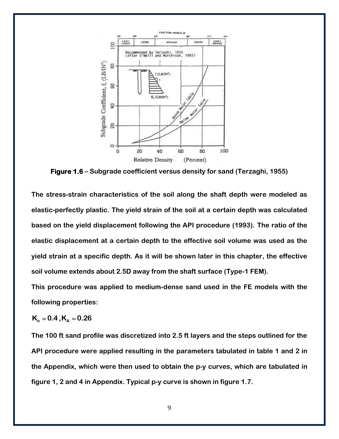

**Figure 1.6 – Subgrade coefficient versus density for sand (Terzaghi, 1955)**

**The stress-strain characteristics of the soil along the shaft depth were modeled as elastic-perfectly plastic. The yield strain of the soil at a certain depth was calculated based on the yield displacement following the API procedure (1993). The ratio of the elastic displacement at a certain depth to the effective soil volume was used as the yield strain at a specific depth. As it will be shown later in this chapter, the effective soil volume extends about 2.5D away from the shaft surface (Type-1 FEM).** 

**This procedure was applied to medium-dense sand used in the FE models with the following properties:**

 $K_{0} = 0.4, K_{A} = 0.26$ 

**The 100 ft sand profile was discretized into 2.5 ft layers and the steps outlined for the API procedure were applied resulting in the parameters tabulated in table 1 and 2 in the Appendix, which were then used to obtain the p-y curves, which are tabulated in figure 1, 2 and 4 in Appendix. Typical p-y curve is shown in figure 1.7.**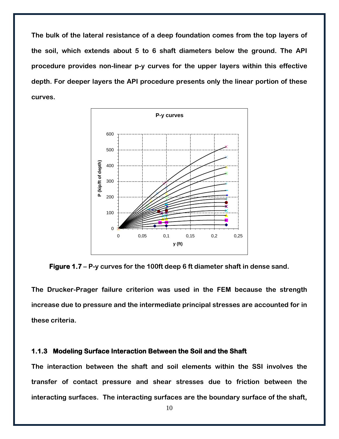**The bulk of the lateral resistance of a deep foundation comes from the top layers of the soil, which extends about 5 to 6 shaft diameters below the ground. The API procedure provides non-linear p-y curves for the upper layers within this effective depth. For deeper layers the API procedure presents only the linear portion of these curves.**



**Figure 1.7 – P-y curves for the 100ft deep 6 ft diameter shaft in dense sand.**

**The Drucker-Prager failure criterion was used in the FEM because the strength increase due to pressure and the intermediate principal stresses are accounted for in these criteria.**

#### <span id="page-11-0"></span>**1.1.3 Modeling Surface Interaction Between the Soil and the Shaft**

**The interaction between the shaft and soil elements within the SSI involves the transfer of contact pressure and shear stresses due to friction between the interacting surfaces. The interacting surfaces are the boundary surface of the shaft,**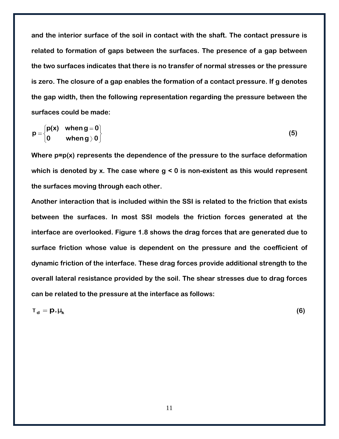**and the interior surface of the soil in contact with the shaft. The contact pressure is related to formation of gaps between the surfaces. The presence of a gap between the two surfaces indicates that there is no transfer of normal stresses or the pressure is zero. The closure of a gap enables the formation of a contact pressure. If g denotes the gap width, then the following representation regarding the pressure between the surfaces could be made:**

$$
p = \begin{cases} p(x) & \text{when } g = 0 \\ 0 & \text{when } g > 0 \end{cases}
$$
 (5)

**Where p=p(x) represents the dependence of the pressure to the surface deformation which is denoted by x. The case where g < 0 is non-existent as this would represent the surfaces moving through each other.**

**Another interaction that is included within the SSI is related to the friction that exists between the surfaces. In most SSI models the friction forces generated at the interface are overlooked. Figure 1.8 shows the drag forces that are generated due to surface friction whose value is dependent on the pressure and the coefficient of dynamic friction of the interface. These drag forces provide additional strength to the overall lateral resistance provided by the soil. The shear stresses due to drag forces can be related to the pressure at the interface as follows:**

$$
\mathbf{T_d} = \mathbf{p} \cdot \mathbf{\mu_k} \tag{6}
$$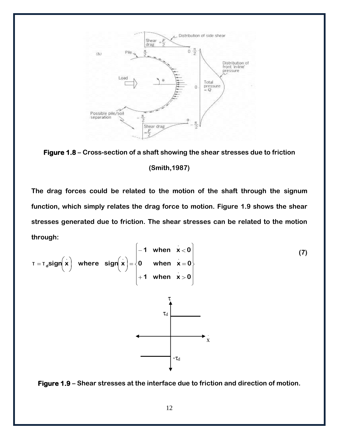

**Figure 1.8 – Cross-section of a shaft showing the shear stresses due to friction (Smith,1987)**

**The drag forces could be related to the motion of the shaft through the signum function, which simply relates the drag force to motion. Figure 1.9 shows the shear stresses generated due to friction. The shear stresses can be related to the motion through:**

$$
T = T_{d}sign\left(\dot{x}\right) \text{ where } sign\left(\dot{x}\right) = \begin{cases} -1 & \text{when } x < 0 \\ 0 & \text{when } x = 0 \\ +1 & \text{when } x > 0 \end{cases}
$$
 (7)



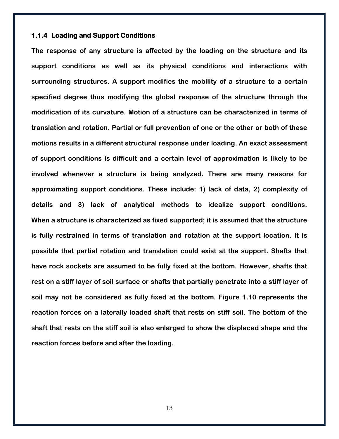#### <span id="page-14-0"></span>**1.1.4 Loading and Support Conditions**

**The response of any structure is affected by the loading on the structure and its support conditions as well as its physical conditions and interactions with surrounding structures. A support modifies the mobility of a structure to a certain specified degree thus modifying the global response of the structure through the modification of its curvature. Motion of a structure can be characterized in terms of translation and rotation. Partial or full prevention of one or the other or both of these motions results in a different structural response under loading. An exact assessment of support conditions is difficult and a certain level of approximation is likely to be involved whenever a structure is being analyzed. There are many reasons for approximating support conditions. These include: 1) lack of data, 2) complexity of details and 3) lack of analytical methods to idealize support conditions. When a structure is characterized as fixed supported; it is assumed that the structure is fully restrained in terms of translation and rotation at the support location. It is possible that partial rotation and translation could exist at the support. Shafts that have rock sockets are assumed to be fully fixed at the bottom. However, shafts that rest on a stiff layer of soil surface or shafts that partially penetrate into a stiff layer of soil may not be considered as fully fixed at the bottom. Figure 1.10 represents the reaction forces on a laterally loaded shaft that rests on stiff soil. The bottom of the shaft that rests on the stiff soil is also enlarged to show the displaced shape and the reaction forces before and after the loading.**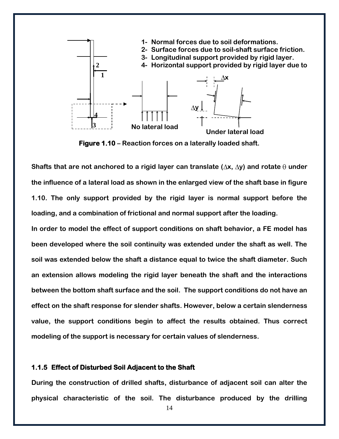

**Figure 1.10 – Reaction forces on a laterally loaded shaft.**

Shafts that are not anchored to a rigid layer can translate ( $\Delta$ x,  $\Delta$ y) and rotate  $\theta$  under **the influence of a lateral load as shown in the enlarged view of the shaft base in figure 1.10. The only support provided by the rigid layer is normal support before the loading, and a combination of frictional and normal support after the loading.**

**In order to model the effect of support conditions on shaft behavior, a FE model has been developed where the soil continuity was extended under the shaft as well. The soil was extended below the shaft a distance equal to twice the shaft diameter. Such an extension allows modeling the rigid layer beneath the shaft and the interactions between the bottom shaft surface and the soil. The support conditions do not have an effect on the shaft response for slender shafts. However, below a certain slenderness value, the support conditions begin to affect the results obtained. Thus correct modeling of the support is necessary for certain values of slenderness.**

#### <span id="page-15-0"></span>**1.1.5 Effect of Disturbed Soil Adjacent to the Shaft**

**During the construction of drilled shafts, disturbance of adjacent soil can alter the physical characteristic of the soil. The disturbance produced by the drilling**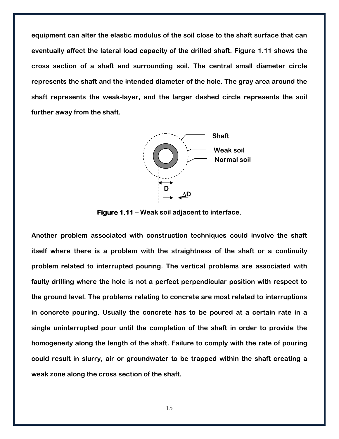**equipment can alter the elastic modulus of the soil close to the shaft surface that can eventually affect the lateral load capacity of the drilled shaft. Figure 1.11 shows the cross section of a shaft and surrounding soil. The central small diameter circle represents the shaft and the intended diameter of the hole. The gray area around the shaft represents the weak-layer, and the larger dashed circle represents the soil further away from the shaft.**



**Figure 1.11 – Weak soil adjacent to interface.**

**Another problem associated with construction techniques could involve the shaft itself where there is a problem with the straightness of the shaft or a continuity problem related to interrupted pouring. The vertical problems are associated with faulty drilling where the hole is not a perfect perpendicular position with respect to the ground level. The problems relating to concrete are most related to interruptions in concrete pouring. Usually the concrete has to be poured at a certain rate in a single uninterrupted pour until the completion of the shaft in order to provide the homogeneity along the length of the shaft. Failure to comply with the rate of pouring could result in slurry, air or groundwater to be trapped within the shaft creating a weak zone along the cross section of the shaft.**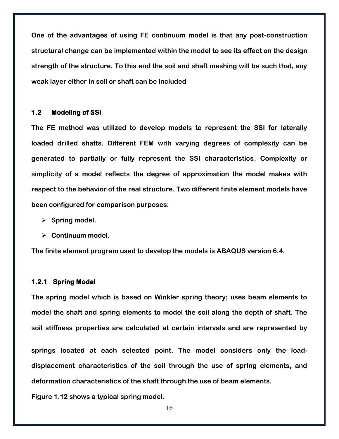**One of the advantages of using FE continuum model is that any post-construction structural change can be implemented within the model to see its effect on the design strength of the structure. To this end the soil and shaft meshing will be such that, any weak layer either in soil or shaft can be included**

#### <span id="page-17-0"></span>**1.2 Modeling of SSI**

**The FE method was utilized to develop models to represent the SSI for laterally loaded drilled shafts. Different FEM with varying degrees of complexity can be generated to partially or fully represent the SSI characteristics. Complexity or simplicity of a model reflects the degree of approximation the model makes with respect to the behavior of the real structure. Two different finite element models have been configured for comparison purposes:**

- **Spring model.**
- **Continuum model.**

**The finite element program used to develop the models is ABAQUS version 6.4.**

#### <span id="page-17-1"></span>**1.2.1 Spring Model**

**The spring model which is based on Winkler spring theory; uses beam elements to model the shaft and spring elements to model the soil along the depth of shaft. The soil stiffness properties are calculated at certain intervals and are represented by** 

**springs located at each selected point. The model considers only the loaddisplacement characteristics of the soil through the use of spring elements, and deformation characteristics of the shaft through the use of beam elements.**

**Figure 1.12 shows a typical spring model.**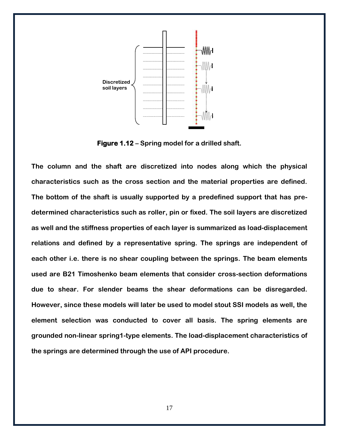

**Figure 1.12 – Spring model for a drilled shaft.**

**The column and the shaft are discretized into nodes along which the physical characteristics such as the cross section and the material properties are defined. The bottom of the shaft is usually supported by a predefined support that has predetermined characteristics such as roller, pin or fixed. The soil layers are discretized as well and the stiffness properties of each layer is summarized as load-displacement relations and defined by a representative spring. The springs are independent of each other i.e. there is no shear coupling between the springs. The beam elements used are B21 Timoshenko beam elements that consider cross-section deformations due to shear. For slender beams the shear deformations can be disregarded. However, since these models will later be used to model stout SSI models as well, the element selection was conducted to cover all basis. The spring elements are grounded non-linear spring1-type elements. The load-displacement characteristics of the springs are determined through the use of API procedure.**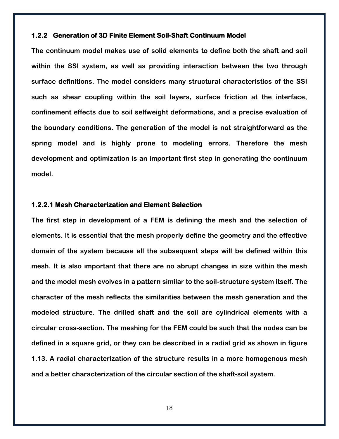#### <span id="page-19-0"></span>**1.2.2 Generation of 3D Finite Element Soil-Shaft Continuum Model**

**The continuum model makes use of solid elements to define both the shaft and soil within the SSI system, as well as providing interaction between the two through surface definitions. The model considers many structural characteristics of the SSI such as shear coupling within the soil layers, surface friction at the interface, confinement effects due to soil selfweight deformations, and a precise evaluation of the boundary conditions. The generation of the model is not straightforward as the spring model and is highly prone to modeling errors. Therefore the mesh development and optimization is an important first step in generating the continuum model.**

#### <span id="page-19-1"></span>**1.2.2.1 Mesh Characterization and Element Selection**

**The first step in development of a FEM is defining the mesh and the selection of elements. It is essential that the mesh properly define the geometry and the effective domain of the system because all the subsequent steps will be defined within this mesh. It is also important that there are no abrupt changes in size within the mesh and the model mesh evolves in a pattern similar to the soil-structure system itself. The character of the mesh reflects the similarities between the mesh generation and the modeled structure. The drilled shaft and the soil are cylindrical elements with a circular cross-section. The meshing for the FEM could be such that the nodes can be defined in a square grid, or they can be described in a radial grid as shown in figure 1.13. A radial characterization of the structure results in a more homogenous mesh and a better characterization of the circular section of the shaft-soil system.**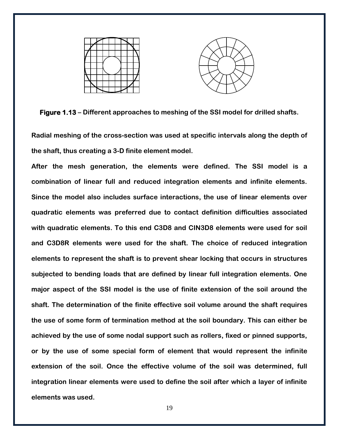

**Figure 1.13 – Different approaches to meshing of the SSI model for drilled shafts.**

**Radial meshing of the cross-section was used at specific intervals along the depth of the shaft, thus creating a 3-D finite element model.**

**After the mesh generation, the elements were defined. The SSI model is a combination of linear full and reduced integration elements and infinite elements. Since the model also includes surface interactions, the use of linear elements over quadratic elements was preferred due to contact definition difficulties associated with quadratic elements. To this end C3D8 and CIN3D8 elements were used for soil and C3D8R elements were used for the shaft. The choice of reduced integration elements to represent the shaft is to prevent shear locking that occurs in structures subjected to bending loads that are defined by linear full integration elements. One major aspect of the SSI model is the use of finite extension of the soil around the shaft. The determination of the finite effective soil volume around the shaft requires the use of some form of termination method at the soil boundary. This can either be achieved by the use of some nodal support such as rollers, fixed or pinned supports, or by the use of some special form of element that would represent the infinite extension of the soil. Once the effective volume of the soil was determined, full integration linear elements were used to define the soil after which a layer of infinite elements was used.**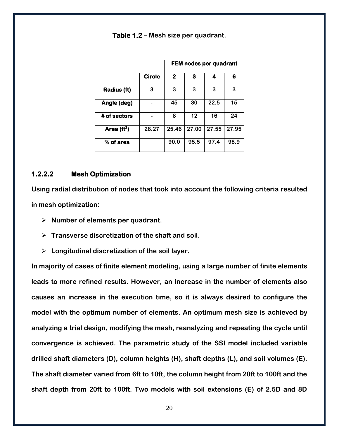|              |               | <b>FEM nodes per quadrant</b> |       |       |       |
|--------------|---------------|-------------------------------|-------|-------|-------|
|              | <b>Circle</b> | 2                             | 3     | 4     | 6     |
| Radius (ft)  | 3             | 3                             | 3     | 3     | 3     |
| Angle (deg)  |               | 45                            | 30    | 22.5  | 15    |
| # of sectors |               | 8                             | 12    | 16    | 24    |
| Area $(ft2)$ | 28.27         | 25.46                         | 27.00 | 27.55 | 27.95 |
| % of area    |               | 90.0                          | 95.5  | 97.4  | 98.9  |

**Table 1.2 – Mesh size per quadrant.**

#### <span id="page-21-0"></span>**1.2.2.2 Mesh Optimization**

**Using radial distribution of nodes that took into account the following criteria resulted in mesh optimization:**

- **Number of elements per quadrant.**
- **Transverse discretization of the shaft and soil.**
- **Longitudinal discretization of the soil layer.**

**In majority of cases of finite element modeling, using a large number of finite elements leads to more refined results. However, an increase in the number of elements also causes an increase in the execution time, so it is always desired to configure the model with the optimum number of elements. An optimum mesh size is achieved by analyzing a trial design, modifying the mesh, reanalyzing and repeating the cycle until convergence is achieved. The parametric study of the SSI model included variable drilled shaft diameters (D), column heights (H), shaft depths (L), and soil volumes (E). The shaft diameter varied from 6ft to 10ft, the column height from 20ft to 100ft and the shaft depth from 20ft to 100ft. Two models with soil extensions (E) of 2.5D and 8D**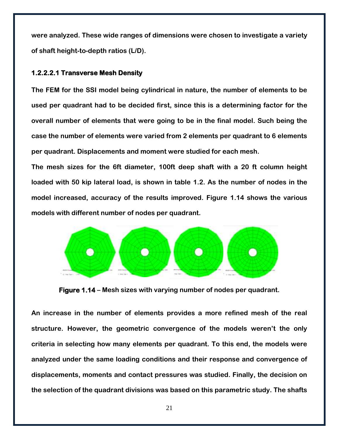**were analyzed. These wide ranges of dimensions were chosen to investigate a variety of shaft height-to-depth ratios (L/D).**

## **1.2.2.2.1 Transverse Mesh Density**

**The FEM for the SSI model being cylindrical in nature, the number of elements to be used per quadrant had to be decided first, since this is a determining factor for the overall number of elements that were going to be in the final model. Such being the case the number of elements were varied from 2 elements per quadrant to 6 elements per quadrant. Displacements and moment were studied for each mesh.**

**The mesh sizes for the 6ft diameter, 100ft deep shaft with a 20 ft column height loaded with 50 kip lateral load, is shown in table 1.2. As the number of nodes in the model increased, accuracy of the results improved. Figure 1.14 shows the various models with different number of nodes per quadrant.**



**Figure 1.14 – Mesh sizes with varying number of nodes per quadrant.**

**An increase in the number of elements provides a more refined mesh of the real structure. However, the geometric convergence of the models weren't the only criteria in selecting how many elements per quadrant. To this end, the models were analyzed under the same loading conditions and their response and convergence of displacements, moments and contact pressures was studied. Finally, the decision on the selection of the quadrant divisions was based on this parametric study. The shafts**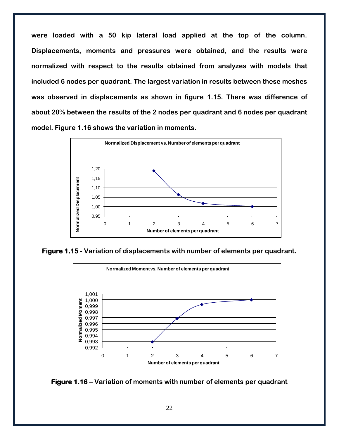**were loaded with a 50 kip lateral load applied at the top of the column. Displacements, moments and pressures were obtained, and the results were normalized with respect to the results obtained from analyzes with models that included 6 nodes per quadrant. The largest variation in results between these meshes was observed in displacements as shown in figure 1.15. There was difference of about 20% between the results of the 2 nodes per quadrant and 6 nodes per quadrant model. Figure 1.16 shows the variation in moments.**



**Figure 1.15 - Variation of displacements with number of elements per quadrant.**



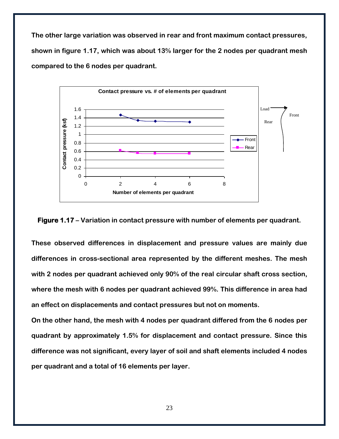**The other large variation was observed in rear and front maximum contact pressures, shown in figure 1.17, which was about 13% larger for the 2 nodes per quadrant mesh compared to the 6 nodes per quadrant.**



**Figure 1.17 – Variation in contact pressure with number of elements per quadrant.**

**These observed differences in displacement and pressure values are mainly due differences in cross-sectional area represented by the different meshes. The mesh with 2 nodes per quadrant achieved only 90% of the real circular shaft cross section, where the mesh with 6 nodes per quadrant achieved 99%. This difference in area had an effect on displacements and contact pressures but not on moments.**

**On the other hand, the mesh with 4 nodes per quadrant differed from the 6 nodes per quadrant by approximately 1.5% for displacement and contact pressure. Since this difference was not significant, every layer of soil and shaft elements included 4 nodes per quadrant and a total of 16 elements per layer.**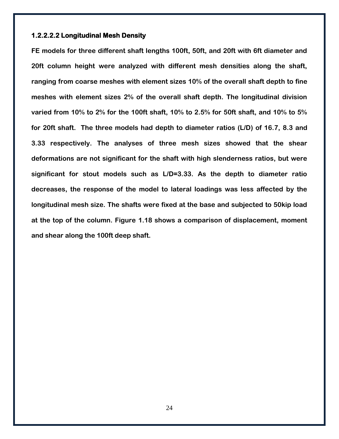#### **1.2.2.2.2 Longitudinal Mesh Density**

**FE models for three different shaft lengths 100ft, 50ft, and 20ft with 6ft diameter and 20ft column height were analyzed with different mesh densities along the shaft, ranging from coarse meshes with element sizes 10% of the overall shaft depth to fine meshes with element sizes 2% of the overall shaft depth. The longitudinal division varied from 10% to 2% for the 100ft shaft, 10% to 2.5% for 50ft shaft, and 10% to 5% for 20ft shaft. The three models had depth to diameter ratios (L/D) of 16.7, 8.3 and 3.33 respectively. The analyses of three mesh sizes showed that the shear deformations are not significant for the shaft with high slenderness ratios, but were significant for stout models such as L/D=3.33. As the depth to diameter ratio decreases, the response of the model to lateral loadings was less affected by the longitudinal mesh size. The shafts were fixed at the base and subjected to 50kip load at the top of the column. Figure 1.18 shows a comparison of displacement, moment and shear along the 100ft deep shaft.**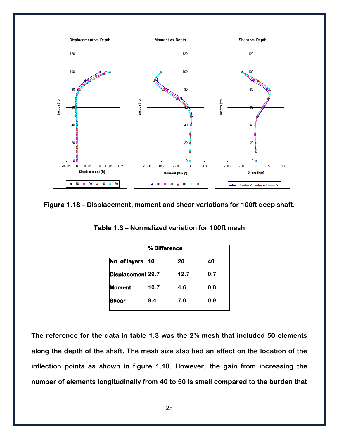

**Figure 1.18 – Displacement, moment and shear variations for 100ft deep shaft.**

**Table 1.3 – Normalized variation for 100ft mesh**

| % Difference      |      |     |  |
|-------------------|------|-----|--|
| 10                | 20   | 40  |  |
| Displacement 29.7 | 12.7 | 0.7 |  |
| 10.7              | 4.6  | 0.8 |  |
| 8.4               | 7.0  | 0.9 |  |
|                   |      |     |  |

**The reference for the data in table 1.3 was the 2% mesh that included 50 elements along the depth of the shaft. The mesh size also had an effect on the location of the inflection points as shown in figure 1.18. However, the gain from increasing the number of elements longitudinally from 40 to 50 is small compared to the burden that**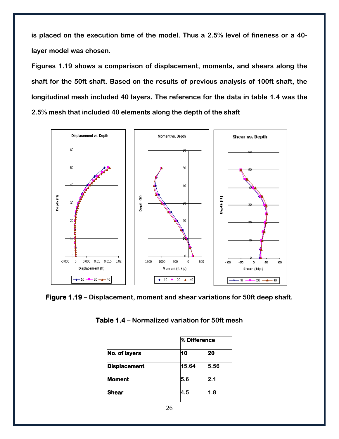**is placed on the execution time of the model. Thus a 2.5% level of fineness or a 40 layer model was chosen.**

**Figures 1.19 shows a comparison of displacement, moments, and shears along the shaft for the 50ft shaft. Based on the results of previous analysis of 100ft shaft, the longitudinal mesh included 40 layers. The reference for the data in table 1.4 was the 2.5% mesh that included 40 elements along the depth of the shaft**



**Figure 1.19 – Displacement, moment and shear variations for 50ft deep shaft.**

| Table 1.4 – Normalized variation for 50ft mesh |  |  |
|------------------------------------------------|--|--|
|                                                |  |  |

|                     | % Difference |      |  |
|---------------------|--------------|------|--|
| No. of layers       | 10           | 20   |  |
| <b>Displacement</b> | 15.64        | 5.56 |  |
| <b>Moment</b>       | 5.6          | 2.1  |  |
| <b>Shear</b>        | 4.5          | 1.8  |  |
|                     |              |      |  |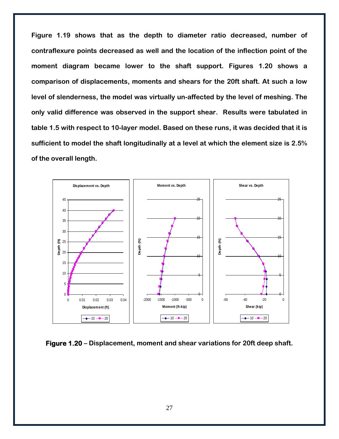**Figure 1.19 shows that as the depth to diameter ratio decreased, number of contraflexure points decreased as well and the location of the inflection point of the moment diagram became lower to the shaft support. Figures 1.20 shows a comparison of displacements, moments and shears for the 20ft shaft. At such a low level of slenderness, the model was virtually un-affected by the level of meshing. The only valid difference was observed in the support shear. Results were tabulated in table 1.5 with respect to 10-layer model. Based on these runs, it was decided that it is sufficient to model the shaft longitudinally at a level at which the element size is 2.5% of the overall length.**



**Figure 1.20 – Displacement, moment and shear variations for 20ft deep shaft.**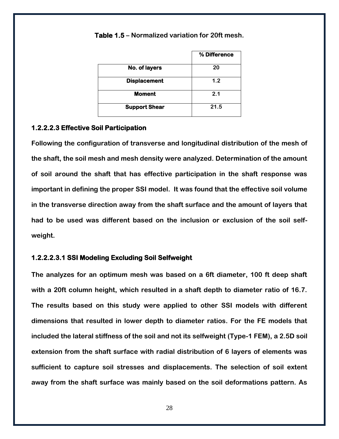|                      | % Difference |
|----------------------|--------------|
| No. of layers        | 20           |
| <b>Displacement</b>  | 1.2          |
| <b>Moment</b>        | 2.1          |
| <b>Support Shear</b> | 21.5         |

**Table 1.5 – Normalized variation for 20ft mesh.**

#### **1.2.2.2.3 Effective Soil Participation**

**Following the configuration of transverse and longitudinal distribution of the mesh of the shaft, the soil mesh and mesh density were analyzed. Determination of the amount of soil around the shaft that has effective participation in the shaft response was important in defining the proper SSI model. It was found that the effective soil volume in the transverse direction away from the shaft surface and the amount of layers that had to be used was different based on the inclusion or exclusion of the soil selfweight.**

### **1.2.2.2.3.1 SSI Modeling Excluding Soil Selfweight**

**The analyzes for an optimum mesh was based on a 6ft diameter, 100 ft deep shaft with a 20ft column height, which resulted in a shaft depth to diameter ratio of 16.7. The results based on this study were applied to other SSI models with different dimensions that resulted in lower depth to diameter ratios. For the FE models that included the lateral stiffness of the soil and not its selfweight (Type-1 FEM), a 2.5D soil extension from the shaft surface with radial distribution of 6 layers of elements was sufficient to capture soil stresses and displacements. The selection of soil extent away from the shaft surface was mainly based on the soil deformations pattern. As**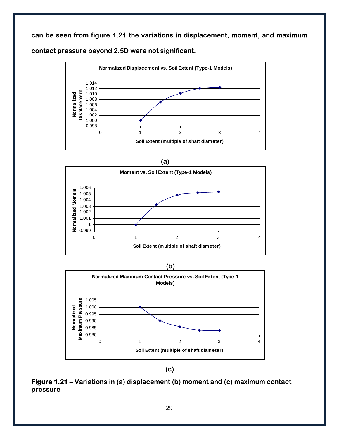**can be seen from figure 1.21 the variations in displacement, moment, and maximum** 

**contact pressure beyond 2.5D were not significant.** 











**Figure 1.21 – Variations in (a) displacement (b) moment and (c) maximum contact pressure**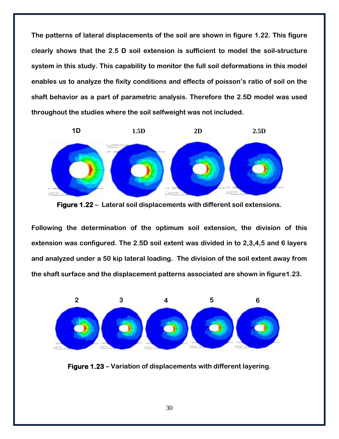**The patterns of lateral displacements of the soil are shown in figure 1.22. This figure clearly shows that the 2.5 D soil extension is sufficient to model the soil-structure system in this study. This capability to monitor the full soil deformations in this model enables us to analyze the fixity conditions and effects of poisson's ratio of soil on the shaft behavior as a part of parametric analysis. Therefore the 2.5D model was used throughout the studies where the soil selfweight was not included.**



**Figure 1.22 – Lateral soil displacements with different soil extensions.**

**Following the determination of the optimum soil extension, the division of this extension was configured. The 2.5D soil extent was divided in to 2,3,4,5 and 6 layers and analyzed under a 50 kip lateral loading. The division of the soil extent away from the shaft surface and the displacement patterns associated are shown in figure1.23.** 



**Figure 1.23 – Variation of displacements with different layering.**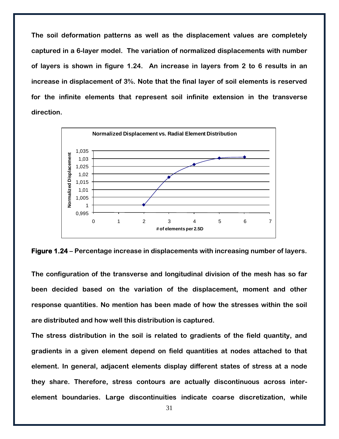**The soil deformation patterns as well as the displacement values are completely captured in a 6-layer model. The variation of normalized displacements with number of layers is shown in figure 1.24. An increase in layers from 2 to 6 results in an increase in displacement of 3%. Note that the final layer of soil elements is reserved for the infinite elements that represent soil infinite extension in the transverse direction.**



**Figure 1.24 – Percentage increase in displacements with increasing number of layers.**

**The configuration of the transverse and longitudinal division of the mesh has so far been decided based on the variation of the displacement, moment and other response quantities. No mention has been made of how the stresses within the soil are distributed and how well this distribution is captured.**

**The stress distribution in the soil is related to gradients of the field quantity, and gradients in a given element depend on field quantities at nodes attached to that element. In general, adjacent elements display different states of stress at a node they share. Therefore, stress contours are actually discontinuous across interelement boundaries. Large discontinuities indicate coarse discretization, while**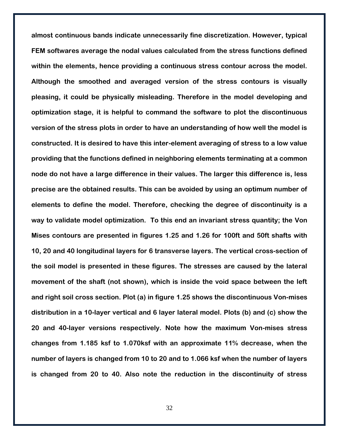**almost continuous bands indicate unnecessarily fine discretization. However, typical FEM softwares average the nodal values calculated from the stress functions defined within the elements, hence providing a continuous stress contour across the model. Although the smoothed and averaged version of the stress contours is visually pleasing, it could be physically misleading. Therefore in the model developing and optimization stage, it is helpful to command the software to plot the discontinuous version of the stress plots in order to have an understanding of how well the model is constructed. It is desired to have this inter-element averaging of stress to a low value providing that the functions defined in neighboring elements terminating at a common node do not have a large difference in their values. The larger this difference is, less precise are the obtained results. This can be avoided by using an optimum number of elements to define the model. Therefore, checking the degree of discontinuity is a way to validate model optimization. To this end an invariant stress quantity; the Von Mises contours are presented in figures 1.25 and 1.26 for 100ft and 50ft shafts with 10, 20 and 40 longitudinal layers for 6 transverse layers. The vertical cross-section of the soil model is presented in these figures. The stresses are caused by the lateral movement of the shaft (not shown), which is inside the void space between the left and right soil cross section. Plot (a) in figure 1.25 shows the discontinuous Von-mises distribution in a 10-layer vertical and 6 layer lateral model. Plots (b) and (c) show the 20 and 40-layer versions respectively. Note how the maximum Von-mises stress changes from 1.185 ksf to 1.070ksf with an approximate 11% decrease, when the number of layers is changed from 10 to 20 and to 1.066 ksf when the number of layers is changed from 20 to 40. Also note the reduction in the discontinuity of stress**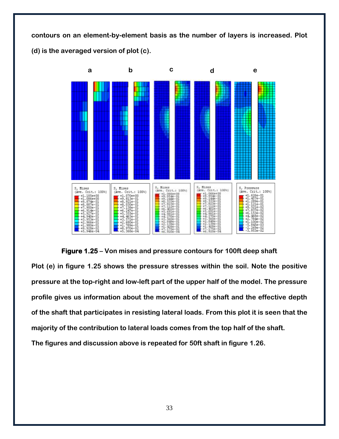**contours on an element-by-element basis as the number of layers is increased. Plot (d) is the averaged version of plot (c).**



**Figure 1.25 – Von mises and pressure contours for 100ft deep shaft Plot (e) in figure 1.25 shows the pressure stresses within the soil. Note the positive pressure at the top-right and low-left part of the upper half of the model. The pressure profile gives us information about the movement of the shaft and the effective depth of the shaft that participates in resisting lateral loads. From this plot it is seen that the majority of the contribution to lateral loads comes from the top half of the shaft. The figures and discussion above is repeated for 50ft shaft in figure 1.26.**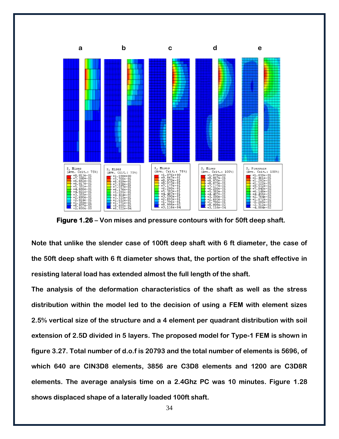

 **Figure 1.26 – Von mises and pressure contours with for 50ft deep shaft.**

**Note that unlike the slender case of 100ft deep shaft with 6 ft diameter, the case of the 50ft deep shaft with 6 ft diameter shows that, the portion of the shaft effective in resisting lateral load has extended almost the full length of the shaft.** 

**The analysis of the deformation characteristics of the shaft as well as the stress distribution within the model led to the decision of using a FEM with element sizes 2.5% vertical size of the structure and a 4 element per quadrant distribution with soil extension of 2.5D divided in 5 layers. The proposed model for Type-1 FEM is shown in figure 3.27. Total number of d.o.f is 20793 and the total number of elements is 5696, of which 640 are CIN3D8 elements, 3856 are C3D8 elements and 1200 are C3D8R elements. The average analysis time on a 2.4Ghz PC was 10 minutes. Figure 1.28 shows displaced shape of a laterally loaded 100ft shaft.**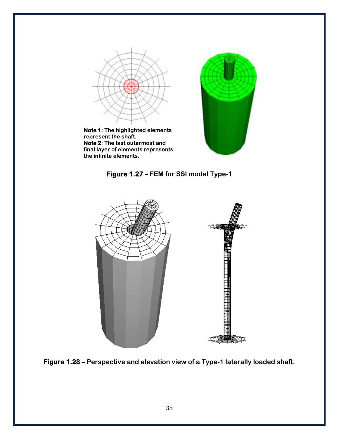









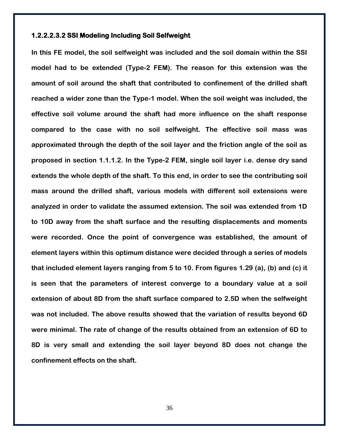#### **1.2.2.2.3.2 SSI Modeling Including Soil Selfweight**

**In this FE model, the soil selfweight was included and the soil domain within the SSI model had to be extended (Type-2 FEM). The reason for this extension was the amount of soil around the shaft that contributed to confinement of the drilled shaft reached a wider zone than the Type-1 model. When the soil weight was included, the effective soil volume around the shaft had more influence on the shaft response compared to the case with no soil selfweight. The effective soil mass was approximated through the depth of the soil layer and the friction angle of the soil as proposed in section 1.1.1.2. In the Type-2 FEM, single soil layer i.e. dense dry sand extends the whole depth of the shaft. To this end, in order to see the contributing soil mass around the drilled shaft, various models with different soil extensions were analyzed in order to validate the assumed extension. The soil was extended from 1D to 10D away from the shaft surface and the resulting displacements and moments were recorded. Once the point of convergence was established, the amount of element layers within this optimum distance were decided through a series of models that included element layers ranging from 5 to 10. From figures 1.29 (a), (b) and (c) it is seen that the parameters of interest converge to a boundary value at a soil extension of about 8D from the shaft surface compared to 2.5D when the selfweight was not included. The above results showed that the variation of results beyond 6D were minimal. The rate of change of the results obtained from an extension of 6D to 8D is very small and extending the soil layer beyond 8D does not change the confinement effects on the shaft.**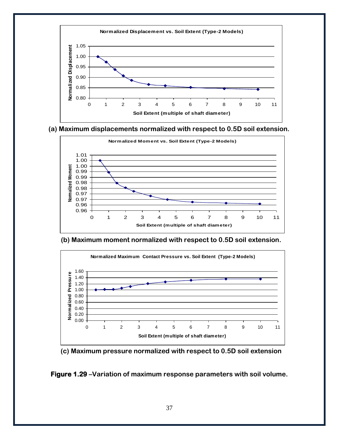

#### **(a) Maximum displacements normalized with respect to 0.5D soil extension.**



#### **(b) Maximum moment normalized with respect to 0.5D soil extension.**



#### **(c) Maximum pressure normalized with respect to 0.5D soil extension**

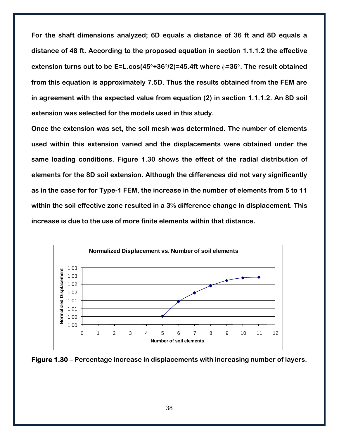**For the shaft dimensions analyzed; 6D equals a distance of 36 ft and 8D equals a distance of 48 ft. According to the proposed equation in section 1.1.1.2 the effective extension turns out to be E=L.cos(45°+36°/2)=45.4ft where**  $\phi$ **=36°. The result obtained from this equation is approximately 7.5D. Thus the results obtained from the FEM are in agreement with the expected value from equation (2) in section 1.1.1.2. An 8D soil extension was selected for the models used in this study.** 

**Once the extension was set, the soil mesh was determined. The number of elements used within this extension varied and the displacements were obtained under the same loading conditions. Figure 1.30 shows the effect of the radial distribution of elements for the 8D soil extension. Although the differences did not vary significantly as in the case for for Type-1 FEM, the increase in the number of elements from 5 to 11 within the soil effective zone resulted in a 3% difference change in displacement. This increase is due to the use of more finite elements within that distance.**



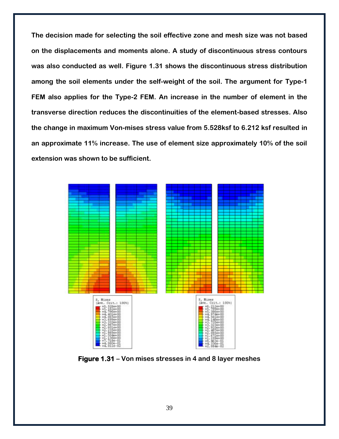**The decision made for selecting the soil effective zone and mesh size was not based on the displacements and moments alone. A study of discontinuous stress contours was also conducted as well. Figure 1.31 shows the discontinuous stress distribution among the soil elements under the self-weight of the soil. The argument for Type-1 FEM also applies for the Type-2 FEM. An increase in the number of element in the transverse direction reduces the discontinuities of the element-based stresses. Also the change in maximum Von-mises stress value from 5.528ksf to 6.212 ksf resulted in an approximate 11% increase. The use of element size approximately 10% of the soil extension was shown to be sufficient.**



**Figure 1.31 – Von mises stresses in 4 and 8 layer meshes**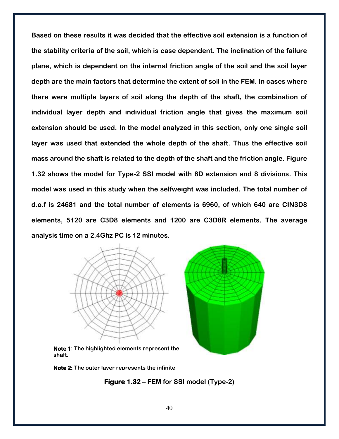**Based on these results it was decided that the effective soil extension is a function of the stability criteria of the soil, which is case dependent. The inclination of the failure plane, which is dependent on the internal friction angle of the soil and the soil layer depth are the main factors that determine the extent of soil in the FEM. In cases where there were multiple layers of soil along the depth of the shaft, the combination of individual layer depth and individual friction angle that gives the maximum soil extension should be used. In the model analyzed in this section, only one single soil layer was used that extended the whole depth of the shaft. Thus the effective soil mass around the shaft is related to the depth of the shaft and the friction angle. Figure 1.32 shows the model for Type-2 SSI model with 8D extension and 8 divisions. This model was used in this study when the selfweight was included. The total number of d.o.f is 24681 and the total number of elements is 6960, of which 640 are CIN3D8 elements, 5120 are C3D8 elements and 1200 are C3D8R elements. The average analysis time on a 2.4Ghz PC is 12 minutes.**





**Note 1: The highlighted elements represent the shaft.**

**Note 2: The outer layer represents the infinite** 

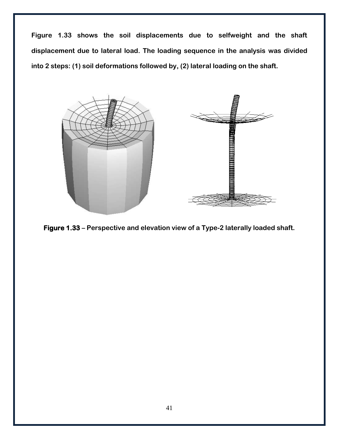**Figure 1.33 shows the soil displacements due to selfweight and the shaft displacement due to lateral load. The loading sequence in the analysis was divided into 2 steps: (1) soil deformations followed by, (2) lateral loading on the shaft.** 



**Figure 1.33 – Perspective and elevation view of a Type-2 laterally loaded shaft.**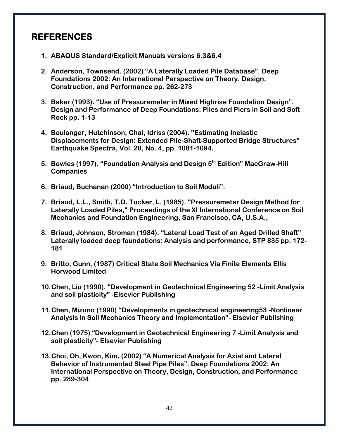# <span id="page-43-0"></span>**REFERENCES**

- **1. ABAQUS Standard/Explicit Manuals versions 6.3&6.4**
- **2. Anderson, Townsend. (2002) "A Laterally Loaded Pile Database". Deep Foundations 2002: An International Perspective on Theory, Design, Construction, and Performance pp. 262-273**
- **3. Baker (1993). "Use of Pressuremeter in Mixed Highrise Foundation Design". Design and Performance of Deep Foundations: Piles and Piers in Soil and Soft Rock pp. 1-13**
- **4. Boulanger, Hutchinson, Chai, Idriss (2004). "Estimating Inelastic Displacements for Design: Extended Pile-Shaft-Supported Bridge Structures" Earthquake Spectra, Vol. 20, No. 4, pp. 1081-1094.**
- **5. Bowles (1997). "Foundation Analysis and Design 5th Edition" MacGraw-Hill Companies**
- **6. Briaud, Buchanan (2000) "Introduction to Soil Moduli".**
- **7. Briaud, L.L., Smith, T.D. Tucker, L. (1985). "Pressuremeter Design Method for Laterally Loaded Piles," Proceedings of the XI International Conference on Soil Mechanics and Foundation Engineering, San Francisco, CA, U.S.A.,**
- **8. Briaud, Johnson, Stroman (1984). "Lateral Load Test of an Aged Drilled Shaft" Laterally loaded deep foundations: Analysis and performance, STP 835 pp. 172- 181**
- **9. Britto, Gunn, (1987) Critical State Soil Mechanics Via Finite Elements Ellis Horwood Limited**
- **10.Chen, Liu (1990). "Development in Geotechnical Engineering 52 -Limit Analysis and soil plasticity" -Elsevier Publishing**
- **11.Chen, Mizuno (1990) "Developments in geotechnical engineering53 -Nonlinear Analysis in Soil Mechanics Theory and Implementation"- Elsevier Publishing**
- **12.Chen (1975) "Development in Geotechnical Engineering 7 -Limit Analysis and soil plasticity"- Elsevier Publishing**
- **13.Choi, Oh, Kwon, Kim. (2002) "A Numerical Analysis for Axial and Lateral Behavior of Instrumented Steel Pipe Piles". Deep Foundations 2002: An International Perspective on Theory, Design, Construction, and Performance pp. 289-304**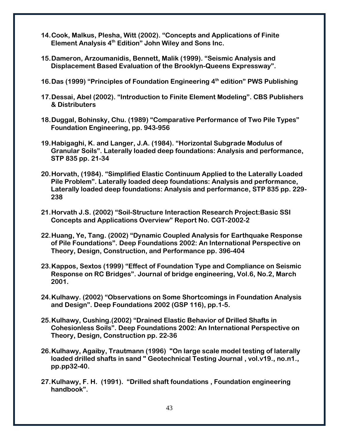- **14.Cook, Malkus, Plesha, Witt (2002). "Concepts and Applications of Finite Element Analysis 4th Edition" John Wiley and Sons Inc.**
- **15.Dameron, Arzoumanidis, Bennett, Malik (1999). "Seismic Analysis and Displacement Based Evaluation of the Brooklyn-Queens Expressway".**
- **16.Das (1999) "Principles of Foundation Engineering 4th edition" PWS Publishing**
- **17.Dessai, Abel (2002). "Introduction to Finite Element Modeling". CBS Publishers & Distributers**
- **18.Duggal, Bohinsky, Chu. (1989) "Comparative Performance of Two Pile Types" Foundation Engineering, pp. 943-956**
- **19.Habigaghi, K. and Langer, J.A. (1984). "Horizontal Subgrade Modulus of Granular Soils". Laterally loaded deep foundations: Analysis and performance, STP 835 pp. 21-34**
- **20.Horvath, (1984). "Simplified Elastic Continuum Applied to the Laterally Loaded Pile Problem". Laterally loaded deep foundations: Analysis and performance, Laterally loaded deep foundations: Analysis and performance, STP 835 pp. 229- 238**
- **21.Horvath J.S. (2002) "Soil-Structure Interaction Research Project:Basic SSI Concepts and Applications Overview" Report No. CGT-2002-2**
- **22.Huang, Ye, Tang. (2002) "Dynamic Coupled Analysis for Earthquake Response of Pile Foundations". Deep Foundations 2002: An International Perspective on Theory, Design, Construction, and Performance pp. 396-404**
- **23.Kappos, Sextos (1999) "Effect of Foundation Type and Compliance on Seismic Response on RC Bridges". Journal of bridge engineering, Vol.6, No.2, March 2001.**
- **24.Kulhawy. (2002) "Observations on Some Shortcomings in Foundation Analysis and Design". Deep Foundations 2002 (GSP 116), pp.1-5.**
- **25.Kulhawy, Cushing.(2002) "Drained Elastic Behavior of Drilled Shafts in Cohesionless Soils". Deep Foundations 2002: An International Perspective on Theory, Design, Construction pp. 22-36**
- **26.Kulhawy, Agaiby, Trautmann (1996) "On large scale model testing of laterally loaded drilled shafts in sand " Geotechnical Testing Journal , vol.v19., no.n1., pp.pp32-40.**
- **27.Kulhawy, F. H. (1991). "Drilled shaft foundations , Foundation engineering handbook".**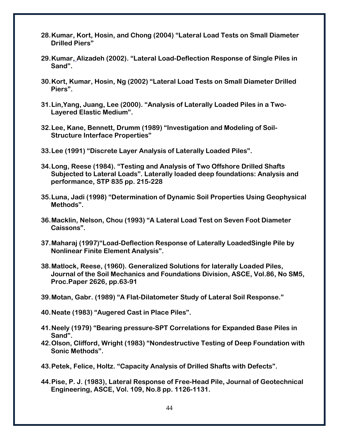- **28.Kumar, Kort, Hosin, and Chong (2004) "Lateral Load Tests on Small Diameter Drilled Piers"**
- **29.Kumar, Alizadeh (2002). "Lateral Load-Deflection Response of Single Piles in Sand".**
- **30.Kort, Kumar, Hosin, Ng (2002) "Lateral Load Tests on Small Diameter Drilled Piers".**
- **31.Lin,Yang, Juang, Lee (2000). "Analysis of Laterally Loaded Piles in a Two-Layered Elastic Medium".**
- **32.Lee, Kane, Bennett, Drumm (1989) "Investigation and Modeling of Soil-Structure Interface Properties"**
- **33.Lee (1991) "Discrete Layer Analysis of Laterally Loaded Piles".**
- **34.Long, Reese (1984). "Testing and Analysis of Two Offshore Drilled Shafts Subjected to Lateral Loads". Laterally loaded deep foundations: Analysis and performance, STP 835 pp. 215-228**
- **35.Luna, Jadi (1998) "Determination of Dynamic Soil Properties Using Geophysical Methods".**
- **36.Macklin, Nelson, Chou (1993) "A Lateral Load Test on Seven Foot Diameter Caissons".**
- **37.Maharaj (1997)"Load-Deflection Response of Laterally LoadedSingle Pile by Nonlinear Finite Element Analysis".**
- **38.Matlock, Reese, (1960). Generalized Solutions for laterally Loaded Piles, Journal of the Soil Mechanics and Foundations Division, ASCE, Vol.86, No SM5, Proc.Paper 2626, pp.63-91**
- **39.Motan, Gabr. (1989) "A Flat-Dilatometer Study of Lateral Soil Response."**
- **40.Neate (1983) "Augered Cast in Place Piles".**
- **41.Neely (1979) "Bearing pressure-SPT Correlations for Expanded Base Piles in Sand".**
- **42.Olson, Clifford, Wright (1983) "Nondestructive Testing of Deep Foundation with Sonic Methods".**
- **43.Petek, Felice, Holtz. "Capacity Analysis of Drilled Shafts with Defects".**
- **44.Pise, P. J. (1983), Lateral Response of Free-Head Pile, Journal of Geotechnical Engineering, ASCE, Vol. 109, No.8 pp. 1126-1131.**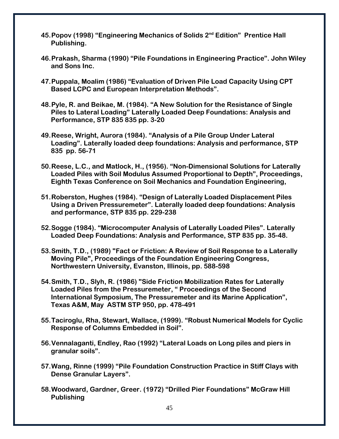- **45.Popov (1998) "Engineering Mechanics of Solids 2nd Edition" Prentice Hall Publishing.**
- **46.Prakash, Sharma (1990) "Pile Foundations in Engineering Practice". John Wiley and Sons Inc.**
- **47.Puppala, Moalim (1986) "Evaluation of Driven Pile Load Capacity Using CPT Based LCPC and European Interpretation Methods".**
- **48.Pyle, R. and Beikae, M. (1984). "A New Solution for the Resistance of Single Piles to Lateral Loading" Laterally Loaded Deep Foundations: Analysis and Performance, STP 835 835 pp. 3-20**
- **49.Reese, Wright, Aurora (1984). "Analysis of a Pile Group Under Lateral Loading". Laterally loaded deep foundations: Analysis and performance, STP 835 pp. 56-71**
- **50.Reese, L.C., and Matlock, H., (1956). "Non-Dimensional Solutions for Laterally Loaded Piles with Soil Modulus Assumed Proportional to Depth", Proceedings, Eighth Texas Conference on Soil Mechanics and Foundation Engineering,**
- **51.Roberston, Hughes (1984). "Design of Laterally Loaded Displacement Piles Using a Driven Pressuremeter". Laterally loaded deep foundations: Analysis and performance, STP 835 pp. 229-238**
- **52.Sogge (1984). "Microcomputer Analysis of Laterally Loaded Piles". Laterally Loaded Deep Foundations: Analysis and Performance, STP 835 pp. 35-48.**
- **53.Smith, T.D., (1989) "Fact or Friction: A Review of Soil Response to a Laterally Moving Pile", Proceedings of the Foundation Engineering Congress, Northwestern University, Evanston, Illinois, pp. 588-598**
- **54.Smith, T.D., Slyh, R. (1986) "Side Friction Mobilization Rates for Laterally Loaded Piles from the Pressuremeter, " Proceedings of the Second International Symposium, The Pressuremeter and its Marine Application", Texas A&M, May ASTM STP 950, pp. 478-491**
- **55.Taciroglu, Rha, Stewart, Wallace, (1999). "Robust Numerical Models for Cyclic Response of Columns Embedded in Soil".**
- **56.Vennalaganti, Endley, Rao (1992) "Lateral Loads on Long piles and piers in granular soils".**
- **57.Wang, Rinne (1999) "Pile Foundation Construction Practice in Stiff Clays with Dense Granular Layers".**
- **58.Woodward, Gardner, Greer. (1972) "Drilled Pier Foundations" McGraw Hill Publishing**